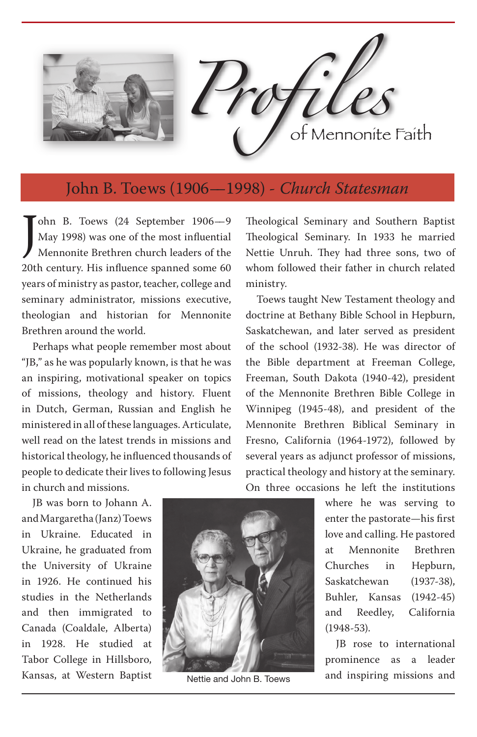

## John B. Toews (1906––1998) *- Church Statesman*

ohn B. Toews (24 September 1906—9<br>May 1998) was one of the most influential<br>Mennonite Brethren church leaders of the<br>20th century. His influence spanned some 60 ohn B. Toews (24 September 1906––9 May 1998) was one of the most influential Mennonite Brethren church leaders of the years of ministry as pastor, teacher, college and seminary administrator, missions executive, theologian and historian for Mennonite Brethren around the world.

Perhaps what people remember most about "JB," as he was popularly known, is that he was an inspiring, motivational speaker on topics of missions, theology and history. Fluent in Dutch, German, Russian and English he ministered in all of these languages. Articulate, well read on the latest trends in missions and historical theology, he influenced thousands of people to dedicate their lives to following Jesus in church and missions.

Theological Seminary and Southern Baptist Theological Seminary. In 1933 he married Nettie Unruh. They had three sons, two of whom followed their father in church related ministry.

Toews taught New Testament theology and doctrine at Bethany Bible School in Hepburn, Saskatchewan, and later served as president of the school (1932-38). He was director of the Bible department at Freeman College, Freeman, South Dakota (1940-42), president of the Mennonite Brethren Bible College in Winnipeg (1945-48), and president of the Mennonite Brethren Biblical Seminary in Fresno, California (1964-1972), followed by several years as adjunct professor of missions, practical theology and history at the seminary. On three occasions he left the institutions

JB was born to Johann A. and Margaretha (Janz) Toews in Ukraine. Educated in Ukraine, he graduated from the University of Ukraine in 1926. He continued his studies in the Netherlands and then immigrated to Canada (Coaldale, Alberta) in 1928. He studied at Tabor College in Hillsboro, Kansas, at Western Baptist



Nettie and John B. Toews

where he was serving to enter the pastorate—his first love and calling. He pastored at Mennonite Brethren Churches in Hepburn, Saskatchewan (1937-38), Buhler, Kansas (1942-45) and Reedley, California (1948-53).

JB rose to international prominence as a leader and inspiring missions and